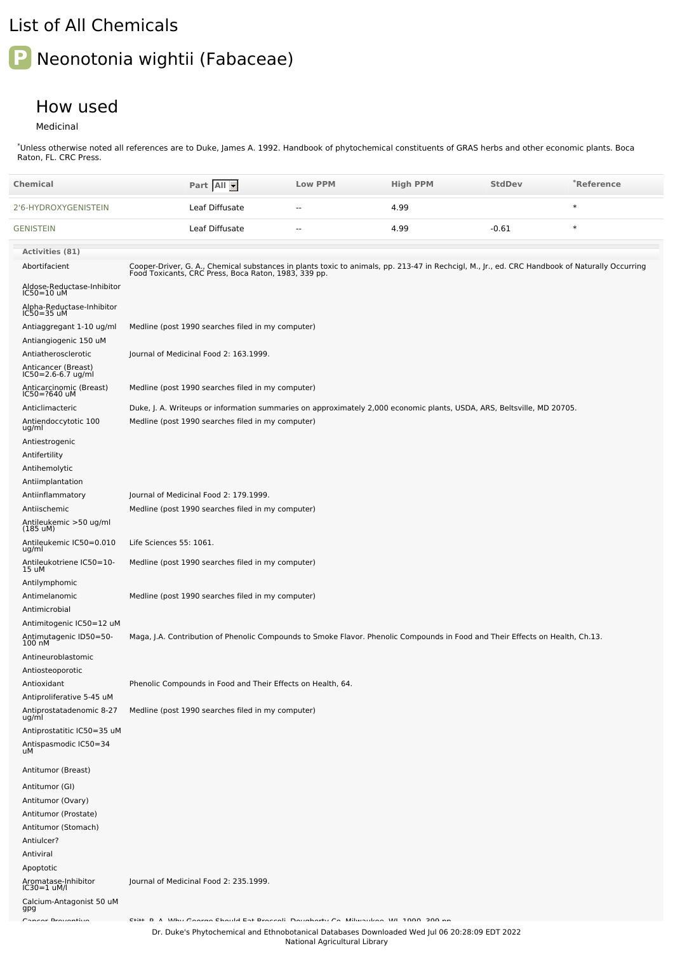## List of All Chemicals

## **P** Neonotonia wightii (Fabaceae)

## How used

Medicinal

\*Unless otherwise noted all references are to Duke, James A. 1992. Handbook of phytochemical constituents of GRAS herbs and other economic plants. Boca Raton, FL. CRC Press.

| Chemical                                        | Part All                                                                                                                                                                                               | <b>Low PPM</b> | <b>High PPM</b> | <b>StdDev</b> | *Reference |
|-------------------------------------------------|--------------------------------------------------------------------------------------------------------------------------------------------------------------------------------------------------------|----------------|-----------------|---------------|------------|
| 2'6-HYDROXYGENISTEIN                            | Leaf Diffusate                                                                                                                                                                                         | $\overline{a}$ | 4.99            |               | $\ast$     |
| <b>GENISTEIN</b>                                | Leaf Diffusate                                                                                                                                                                                         | $\overline{a}$ | 4.99            | $-0.61$       | $\ast$     |
| <b>Activities (81)</b>                          |                                                                                                                                                                                                        |                |                 |               |            |
| Abortifacient                                   | Cooper-Driver, G. A., Chemical substances in plants toxic to animals, pp. 213-47 in Rechcigl, M., Jr., ed. CRC Handbook of Naturally Occurring<br>Food Toxicants, CRC Press, Boca Raton, 1983, 339 pp. |                |                 |               |            |
| Aldose-Reductase-Inhibitor<br>IC50=10 uM        |                                                                                                                                                                                                        |                |                 |               |            |
| Alpha-Reductase-Inhibitor<br>$IC50 = 35$ uM     |                                                                                                                                                                                                        |                |                 |               |            |
| Antiaggregant 1-10 ug/ml                        | Medline (post 1990 searches filed in my computer)                                                                                                                                                      |                |                 |               |            |
| Antiangiogenic 150 uM                           |                                                                                                                                                                                                        |                |                 |               |            |
| Antiatherosclerotic                             | Journal of Medicinal Food 2: 163.1999.                                                                                                                                                                 |                |                 |               |            |
| Anticancer (Breast)<br>$IC50 = 2.6 - 6.7$ ug/ml |                                                                                                                                                                                                        |                |                 |               |            |
| Anticarcinomic (Breast)<br>IC50=?640 uM         | Medline (post 1990 searches filed in my computer)                                                                                                                                                      |                |                 |               |            |
| Anticlimacteric                                 | Duke, J. A. Writeups or information summaries on approximately 2,000 economic plants, USDA, ARS, Beltsville, MD 20705.                                                                                 |                |                 |               |            |
| Antiendoccytotic 100<br>ug/ml                   | Medline (post 1990 searches filed in my computer)                                                                                                                                                      |                |                 |               |            |
| Antiestrogenic                                  |                                                                                                                                                                                                        |                |                 |               |            |
| Antifertility                                   |                                                                                                                                                                                                        |                |                 |               |            |
| Antihemolytic                                   |                                                                                                                                                                                                        |                |                 |               |            |
| Antiimplantation                                |                                                                                                                                                                                                        |                |                 |               |            |
| Antiinflammatory                                | Journal of Medicinal Food 2: 179.1999.                                                                                                                                                                 |                |                 |               |            |
| Antiischemic                                    | Medline (post 1990 searches filed in my computer)                                                                                                                                                      |                |                 |               |            |
| Antileukemic >50 ug/ml<br>$(185 \text{ uM})$    |                                                                                                                                                                                                        |                |                 |               |            |
| Antileukemic IC50=0.010<br>ug/ml                | Life Sciences 55: 1061.                                                                                                                                                                                |                |                 |               |            |
| Antileukotriene IC50=10-<br>15 uM               | Medline (post 1990 searches filed in my computer)                                                                                                                                                      |                |                 |               |            |
| Antilymphomic                                   |                                                                                                                                                                                                        |                |                 |               |            |
| Antimelanomic                                   | Medline (post 1990 searches filed in my computer)                                                                                                                                                      |                |                 |               |            |
| Antimicrobial                                   |                                                                                                                                                                                                        |                |                 |               |            |
| Antimitogenic IC50=12 uM                        |                                                                                                                                                                                                        |                |                 |               |            |
| Antimutagenic ID50=50-<br>100 nM                | Maga, J.A. Contribution of Phenolic Compounds to Smoke Flavor. Phenolic Compounds in Food and Their Effects on Health, Ch.13.                                                                          |                |                 |               |            |
| Antineuroblastomic                              |                                                                                                                                                                                                        |                |                 |               |            |
| Antiosteoporotic                                |                                                                                                                                                                                                        |                |                 |               |            |
| Antioxidant                                     | Phenolic Compounds in Food and Their Effects on Health, 64.                                                                                                                                            |                |                 |               |            |
| Antiproliferative 5-45 uM                       |                                                                                                                                                                                                        |                |                 |               |            |
| Antiprostatadenomic 8-27<br>ug/ml               | Medline (post 1990 searches filed in my computer)                                                                                                                                                      |                |                 |               |            |
| Antiprostatitic IC50=35 uM                      |                                                                                                                                                                                                        |                |                 |               |            |
| Antispasmodic IC50=34<br>uМ                     |                                                                                                                                                                                                        |                |                 |               |            |
| Antitumor (Breast)                              |                                                                                                                                                                                                        |                |                 |               |            |
| Antitumor (GI)                                  |                                                                                                                                                                                                        |                |                 |               |            |
| Antitumor (Ovary)                               |                                                                                                                                                                                                        |                |                 |               |            |
|                                                 |                                                                                                                                                                                                        |                |                 |               |            |
| Antitumor (Prostate)                            |                                                                                                                                                                                                        |                |                 |               |            |
| Antitumor (Stomach)                             |                                                                                                                                                                                                        |                |                 |               |            |
| Antiulcer?                                      |                                                                                                                                                                                                        |                |                 |               |            |
| Antiviral                                       |                                                                                                                                                                                                        |                |                 |               |            |
| Apoptotic<br>Aromatase-Inhibitor                | Journal of Medicinal Food 2: 235.1999.                                                                                                                                                                 |                |                 |               |            |
| $IC30=1$ uM/l<br>Calcium-Antagonist 50 uM       |                                                                                                                                                                                                        |                |                 |               |            |
| gpg<br>Concert Beatrockhire                     | Chile, D. A. Who Cannon Chaold Fat Desarally Davehauter Ca. Millene Lea. WI 1000 200 an                                                                                                                |                |                 |               |            |